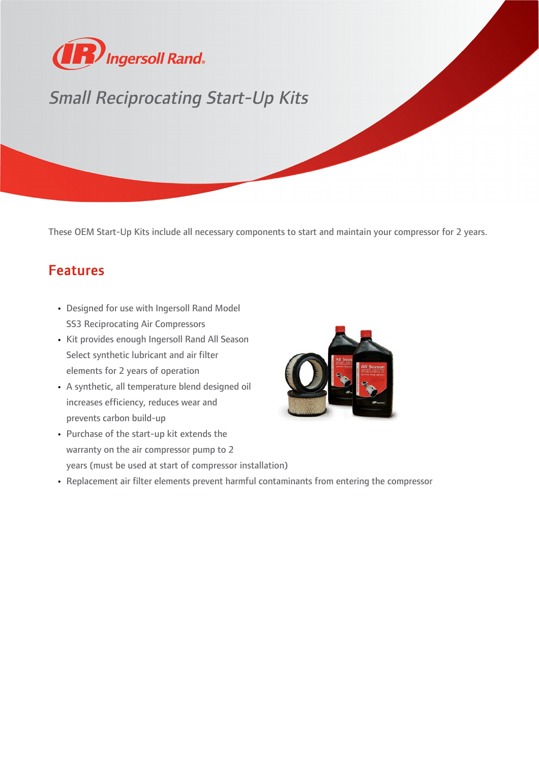

## Small Reciprocating Start-Up Kits

These OEM Start-Up Kits include all necessary components to start and maintain your compressor for 2 years.

## Features

- Designed for use with Ingersoll Rand Model SS3 Reciprocating Air Compressors
- Kit provides enough Ingersoll Rand All Season Select synthetic lubricant and air filter elements for 2 years of operation
- A synthetic, all temperature blend designed oil increases efficiency, reduces wear and prevents carbon build-up
- Purchase of the start-up kit extends the warranty on the air compressor pump to 2 years (must be used at start of compressor installation)
- Replacement air filter elements prevent harmful contaminants from entering the compressor